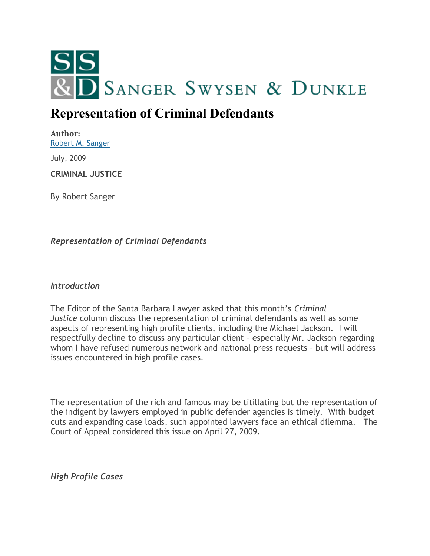

## **Representation of Criminal Defendants**

**Author:** [Robert M. Sanger](http://sangerswysen.com/robert-m-sanger)

July, 2009

**CRIMINAL JUSTICE**

By Robert Sanger

*Representation of Criminal Defendants*

*Introduction*

The Editor of the Santa Barbara Lawyer asked that this month's *Criminal Justice* column discuss the representation of criminal defendants as well as some aspects of representing high profile clients, including the Michael Jackson. I will respectfully decline to discuss any particular client – especially Mr. Jackson regarding whom I have refused numerous network and national press requests – but will address issues encountered in high profile cases.

The representation of the rich and famous may be titillating but the representation of the indigent by lawyers employed in public defender agencies is timely. With budget cuts and expanding case loads, such appointed lawyers face an ethical dilemma. The Court of Appeal considered this issue on April 27, 2009.

*High Profile Cases*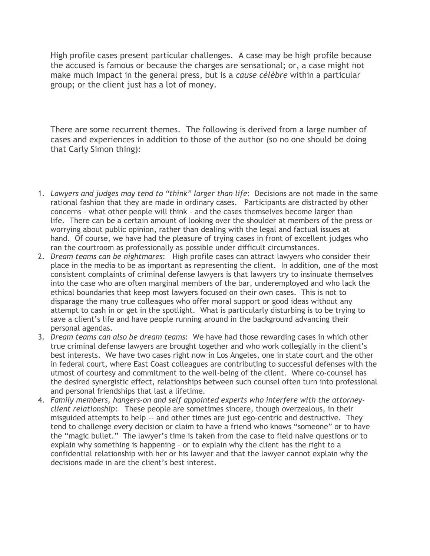High profile cases present particular challenges. A case may be high profile because the accused is famous or because the charges are sensational; or, a case might not make much impact in the general press, but is a *cause célèbre* within a particular group; or the client just has a lot of money.

There are some recurrent themes. The following is derived from a large number of cases and experiences in addition to those of the author (so no one should be doing that Carly Simon thing):

- 1. *Lawyers and judges may tend to "think" larger than life*: Decisions are not made in the same rational fashion that they are made in ordinary cases. Participants are distracted by other concerns – what other people will think – and the cases themselves become larger than life. There can be a certain amount of looking over the shoulder at members of the press or worrying about public opinion, rather than dealing with the legal and factual issues at hand. Of course, we have had the pleasure of trying cases in front of excellent judges who ran the courtroom as professionally as possible under difficult circumstances.
- 2. *Dream teams can be nightmares*: High profile cases can attract lawyers who consider their place in the media to be as important as representing the client. In addition, one of the most consistent complaints of criminal defense lawyers is that lawyers try to insinuate themselves into the case who are often marginal members of the bar, underemployed and who lack the ethical boundaries that keep most lawyers focused on their own cases. This is not to disparage the many true colleagues who offer moral support or good ideas without any attempt to cash in or get in the spotlight. What is particularly disturbing is to be trying to save a client's life and have people running around in the background advancing their personal agendas.
- 3. *Dream teams can also be dream teams*: We have had those rewarding cases in which other true criminal defense lawyers are brought together and who work collegially in the client's best interests. We have two cases right now in Los Angeles, one in state court and the other in federal court, where East Coast colleagues are contributing to successful defenses with the utmost of courtesy and commitment to the well-being of the client. Where co-counsel has the desired synergistic effect, relationships between such counsel often turn into professional and personal friendships that last a lifetime.
- 4. *Family members, hangers-on and self appointed experts who interfere with the attorneyclient relationship*: These people are sometimes sincere, though overzealous, in their misguided attempts to help -- and other times are just ego-centric and destructive. They tend to challenge every decision or claim to have a friend who knows "someone" or to have the "magic bullet." The lawyer's time is taken from the case to field naive questions or to explain why something is happening – or to explain why the client has the right to a confidential relationship with her or his lawyer and that the lawyer cannot explain why the decisions made in are the client's best interest.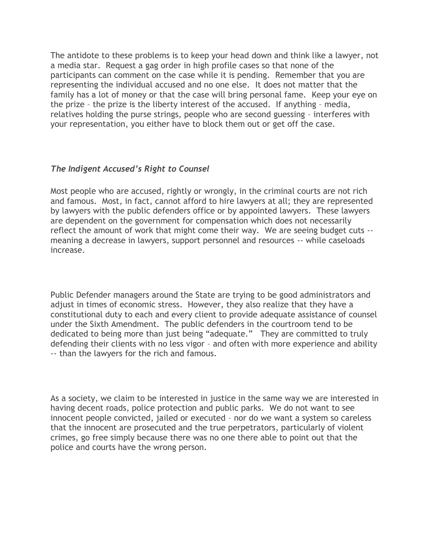The antidote to these problems is to keep your head down and think like a lawyer, not a media star. Request a gag order in high profile cases so that none of the participants can comment on the case while it is pending. Remember that you are representing the individual accused and no one else. It does not matter that the family has a lot of money or that the case will bring personal fame. Keep your eye on the prize – the prize is the liberty interest of the accused. If anything – media, relatives holding the purse strings, people who are second guessing – interferes with your representation, you either have to block them out or get off the case.

## *The Indigent Accused's Right to Counsel*

Most people who are accused, rightly or wrongly, in the criminal courts are not rich and famous. Most, in fact, cannot afford to hire lawyers at all; they are represented by lawyers with the public defenders office or by appointed lawyers. These lawyers are dependent on the government for compensation which does not necessarily reflect the amount of work that might come their way. We are seeing budget cuts - meaning a decrease in lawyers, support personnel and resources -- while caseloads increase.

Public Defender managers around the State are trying to be good administrators and adjust in times of economic stress. However, they also realize that they have a constitutional duty to each and every client to provide adequate assistance of counsel under the Sixth Amendment. The public defenders in the courtroom tend to be dedicated to being more than just being "adequate." They are committed to truly defending their clients with no less vigor – and often with more experience and ability -- than the lawyers for the rich and famous.

As a society, we claim to be interested in justice in the same way we are interested in having decent roads, police protection and public parks. We do not want to see innocent people convicted, jailed or executed – nor do we want a system so careless that the innocent are prosecuted and the true perpetrators, particularly of violent crimes, go free simply because there was no one there able to point out that the police and courts have the wrong person.